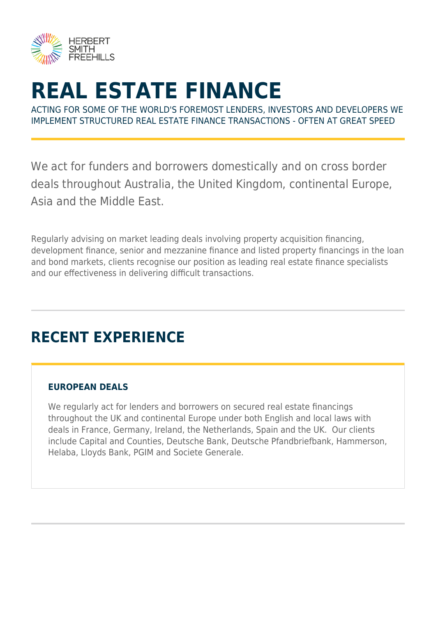

# **REAL ESTATE FINANCE**

ACTING FOR SOME OF THE WORLD'S FOREMOST LENDERS, INVESTORS AND DEVELOPERS WE IMPLEMENT STRUCTURED REAL ESTATE FINANCE TRANSACTIONS - OFTEN AT GREAT SPEED

We act for funders and borrowers domestically and on cross border deals throughout Australia, the United Kingdom, continental Europe, Asia and the Middle East.

Regularly advising on market leading deals involving property acquisition financing, development finance, senior and mezzanine finance and listed property financings in the loan and bond markets, clients recognise our position as leading real estate finance specialists and our effectiveness in delivering difficult transactions.

## **RECENT EXPERIENCE**

### **EUROPEAN DEALS**

We regularly act for lenders and borrowers on secured real estate financings throughout the UK and continental Europe under both English and local laws with deals in France, Germany, Ireland, the Netherlands, Spain and the UK. Our clients include Capital and Counties, Deutsche Bank, Deutsche Pfandbriefbank, Hammerson, Helaba, Lloyds Bank, PGIM and Societe Generale.